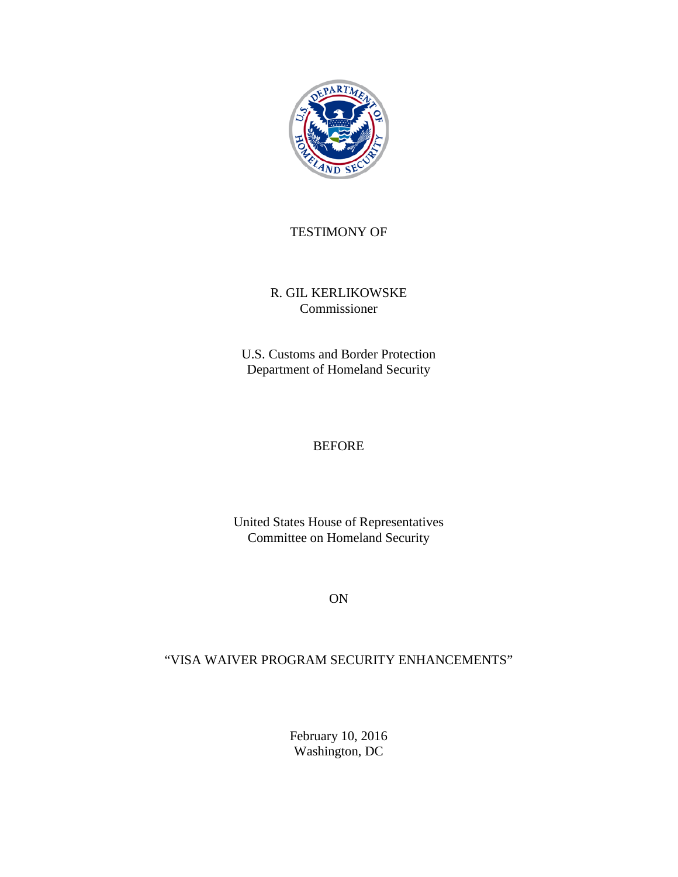

### TESTIMONY OF

#### R. GIL KERLIKOWSKE Commissioner

U.S. Customs and Border Protection Department of Homeland Security

#### BEFORE

United States House of Representatives Committee on Homeland Security

ON

## "VISA WAIVER PROGRAM SECURITY ENHANCEMENTS"

February 10, 2016 Washington, DC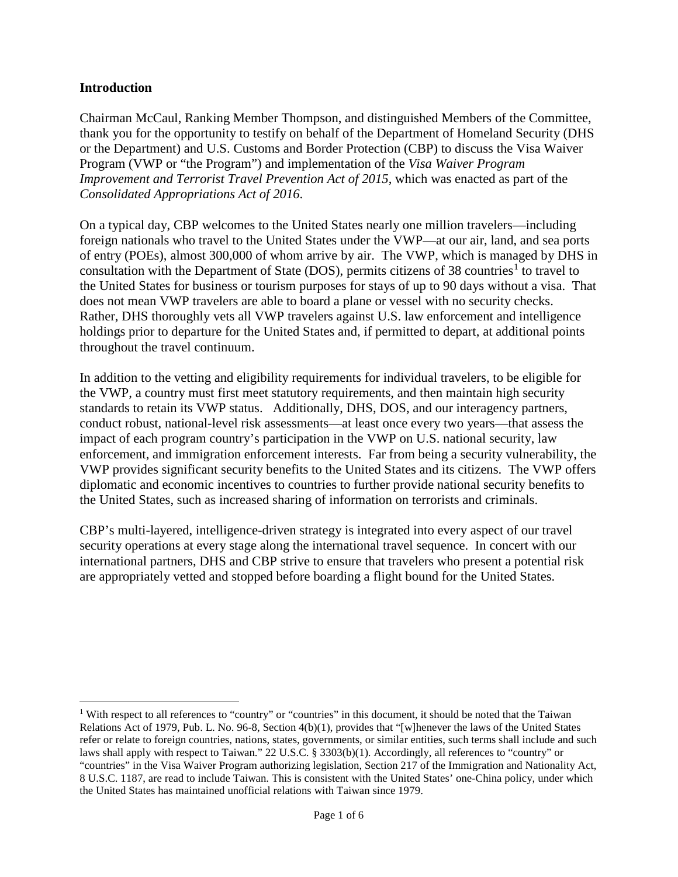#### **Introduction**

Chairman McCaul, Ranking Member Thompson, and distinguished Members of the Committee, thank you for the opportunity to testify on behalf of the Department of Homeland Security (DHS or the Department) and U.S. Customs and Border Protection (CBP) to discuss the Visa Waiver Program (VWP or "the Program") and implementation of the *Visa Waiver Program Improvement and Terrorist Travel Prevention Act of 2015*, which was enacted as part of the *Consolidated Appropriations Act of 2016*.

On a typical day, CBP welcomes to the United States nearly one million travelers—including foreign nationals who travel to the United States under the VWP—at our air, land, and sea ports of entry (POEs), almost 300,000 of whom arrive by air. The VWP, which is managed by DHS in consultation with the Department of State (DOS), permits citizens of 38 countries<sup>[1](#page-1-0)</sup> to travel to the United States for business or tourism purposes for stays of up to 90 days without a visa. That does not mean VWP travelers are able to board a plane or vessel with no security checks. Rather, DHS thoroughly vets all VWP travelers against U.S. law enforcement and intelligence holdings prior to departure for the United States and, if permitted to depart, at additional points throughout the travel continuum.

In addition to the vetting and eligibility requirements for individual travelers, to be eligible for the VWP, a country must first meet statutory requirements, and then maintain high security standards to retain its VWP status. Additionally, DHS, DOS, and our interagency partners, conduct robust, national-level risk assessments—at least once every two years—that assess the impact of each program country's participation in the VWP on U.S. national security, law enforcement, and immigration enforcement interests. Far from being a security vulnerability, the VWP provides significant security benefits to the United States and its citizens. The VWP offers diplomatic and economic incentives to countries to further provide national security benefits to the United States, such as increased sharing of information on terrorists and criminals.

CBP's multi-layered, intelligence-driven strategy is integrated into every aspect of our travel security operations at every stage along the international travel sequence. In concert with our international partners, DHS and CBP strive to ensure that travelers who present a potential risk are appropriately vetted and stopped before boarding a flight bound for the United States.

<span id="page-1-0"></span><sup>&</sup>lt;sup>1</sup> With respect to all references to "country" or "countries" in this document, it should be noted that the Taiwan Relations Act of 1979, Pub. L. No. 96-8, Section 4(b)(1), provides that "[w]henever the laws of the United States refer or relate to foreign countries, nations, states, governments, or similar entities, such terms shall include and such laws shall apply with respect to Taiwan." 22 U.S.C. § 3303(b)(1). Accordingly, all references to "country" or "countries" in the Visa Waiver Program authorizing legislation, Section 217 of the Immigration and Nationality Act, 8 U.S.C. 1187, are read to include Taiwan. This is consistent with the United States' one-China policy, under which the United States has maintained unofficial relations with Taiwan since 1979.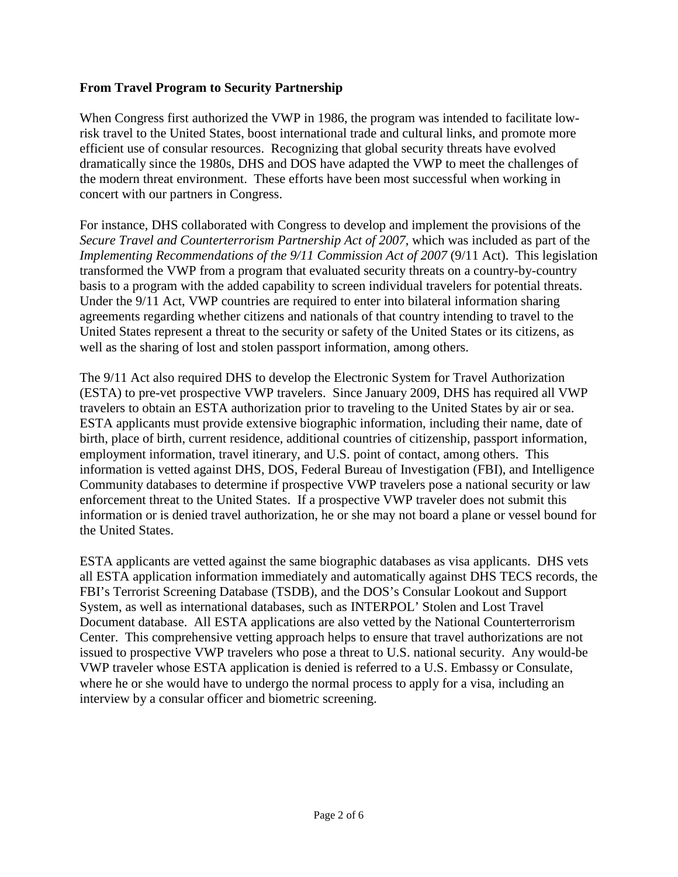#### **From Travel Program to Security Partnership**

When Congress first authorized the VWP in 1986, the program was intended to facilitate lowrisk travel to the United States, boost international trade and cultural links, and promote more efficient use of consular resources. Recognizing that global security threats have evolved dramatically since the 1980s, DHS and DOS have adapted the VWP to meet the challenges of the modern threat environment. These efforts have been most successful when working in concert with our partners in Congress.

For instance, DHS collaborated with Congress to develop and implement the provisions of the *Secure Travel and Counterterrorism Partnership Act of 2007*, which was included as part of the *Implementing Recommendations of the 9/11 Commission Act of 2007 (9/11 Act). This legislation* transformed the VWP from a program that evaluated security threats on a country-by-country basis to a program with the added capability to screen individual travelers for potential threats. Under the 9/11 Act, VWP countries are required to enter into bilateral information sharing agreements regarding whether citizens and nationals of that country intending to travel to the United States represent a threat to the security or safety of the United States or its citizens, as well as the sharing of lost and stolen passport information, among others.

The 9/11 Act also required DHS to develop the Electronic System for Travel Authorization (ESTA) to pre-vet prospective VWP travelers. Since January 2009, DHS has required all VWP travelers to obtain an ESTA authorization prior to traveling to the United States by air or sea. ESTA applicants must provide extensive biographic information, including their name, date of birth, place of birth, current residence, additional countries of citizenship, passport information, employment information, travel itinerary, and U.S. point of contact, among others. This information is vetted against DHS, DOS, Federal Bureau of Investigation (FBI), and Intelligence Community databases to determine if prospective VWP travelers pose a national security or law enforcement threat to the United States. If a prospective VWP traveler does not submit this information or is denied travel authorization, he or she may not board a plane or vessel bound for the United States.

ESTA applicants are vetted against the same biographic databases as visa applicants. DHS vets all ESTA application information immediately and automatically against DHS TECS records, the FBI's Terrorist Screening Database (TSDB), and the DOS's Consular Lookout and Support System, as well as international databases, such as INTERPOL' Stolen and Lost Travel Document database. All ESTA applications are also vetted by the National Counterterrorism Center. This comprehensive vetting approach helps to ensure that travel authorizations are not issued to prospective VWP travelers who pose a threat to U.S. national security. Any would-be VWP traveler whose ESTA application is denied is referred to a U.S. Embassy or Consulate, where he or she would have to undergo the normal process to apply for a visa, including an interview by a consular officer and biometric screening.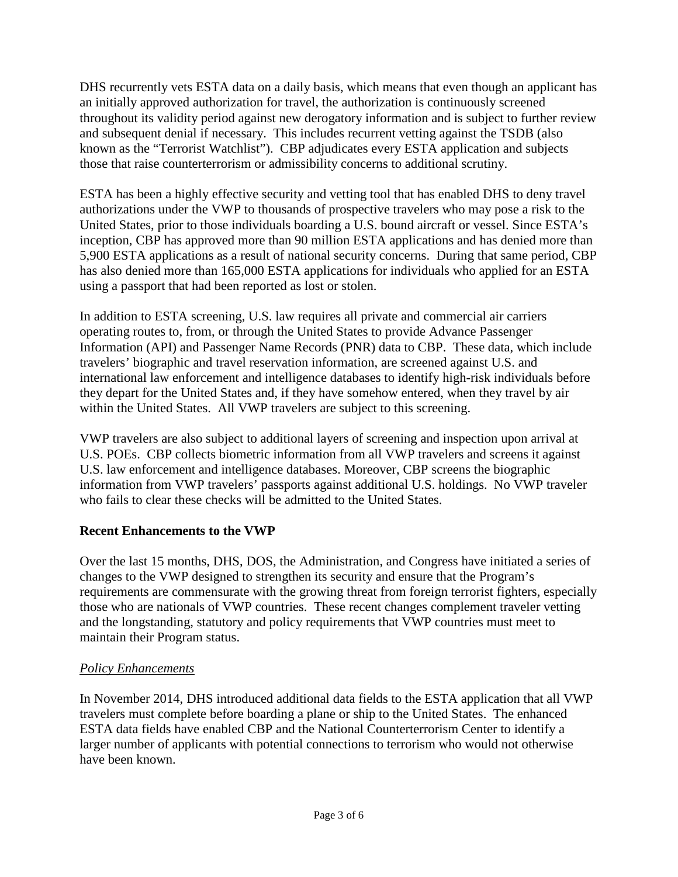DHS recurrently vets ESTA data on a daily basis, which means that even though an applicant has an initially approved authorization for travel, the authorization is continuously screened throughout its validity period against new derogatory information and is subject to further review and subsequent denial if necessary. This includes recurrent vetting against the TSDB (also known as the "Terrorist Watchlist"). CBP adjudicates every ESTA application and subjects those that raise counterterrorism or admissibility concerns to additional scrutiny.

ESTA has been a highly effective security and vetting tool that has enabled DHS to deny travel authorizations under the VWP to thousands of prospective travelers who may pose a risk to the United States, prior to those individuals boarding a U.S. bound aircraft or vessel. Since ESTA's inception, CBP has approved more than 90 million ESTA applications and has denied more than 5,900 ESTA applications as a result of national security concerns. During that same period, CBP has also denied more than 165,000 ESTA applications for individuals who applied for an ESTA using a passport that had been reported as lost or stolen.

In addition to ESTA screening, U.S. law requires all private and commercial air carriers operating routes to, from, or through the United States to provide Advance Passenger Information (API) and Passenger Name Records (PNR) data to CBP. These data, which include travelers' biographic and travel reservation information, are screened against U.S. and international law enforcement and intelligence databases to identify high-risk individuals before they depart for the United States and, if they have somehow entered, when they travel by air within the United States. All VWP travelers are subject to this screening.

VWP travelers are also subject to additional layers of screening and inspection upon arrival at U.S. POEs. CBP collects biometric information from all VWP travelers and screens it against U.S. law enforcement and intelligence databases. Moreover, CBP screens the biographic information from VWP travelers' passports against additional U.S. holdings. No VWP traveler who fails to clear these checks will be admitted to the United States.

## **Recent Enhancements to the VWP**

Over the last 15 months, DHS, DOS, the Administration, and Congress have initiated a series of changes to the VWP designed to strengthen its security and ensure that the Program's requirements are commensurate with the growing threat from foreign terrorist fighters, especially those who are nationals of VWP countries. These recent changes complement traveler vetting and the longstanding, statutory and policy requirements that VWP countries must meet to maintain their Program status.

# *Policy Enhancements*

In November 2014, DHS introduced additional data fields to the ESTA application that all VWP travelers must complete before boarding a plane or ship to the United States. The enhanced ESTA data fields have enabled CBP and the National Counterterrorism Center to identify a larger number of applicants with potential connections to terrorism who would not otherwise have been known.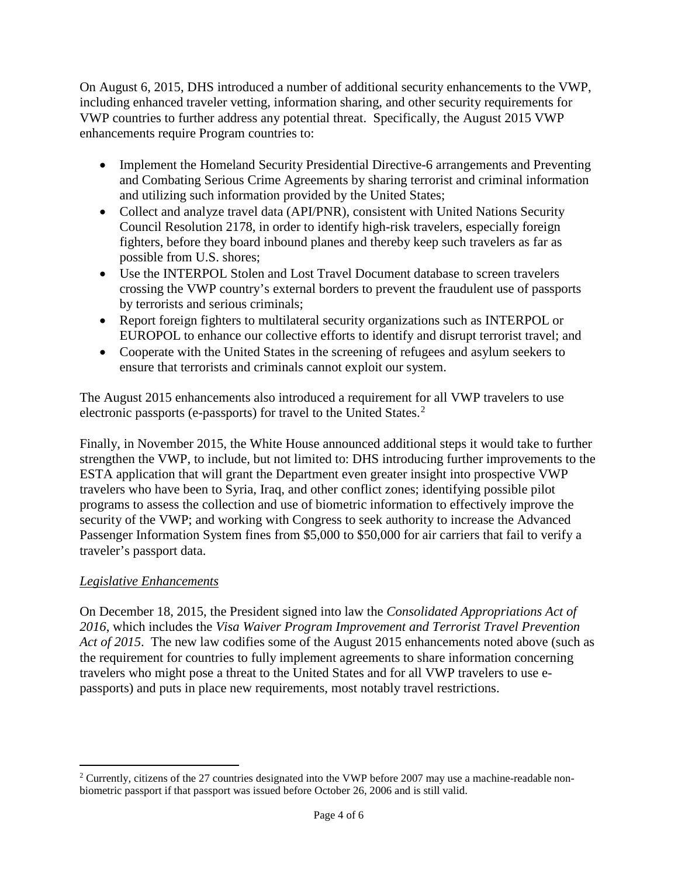On August 6, 2015, DHS introduced a number of additional security enhancements to the VWP, including enhanced traveler vetting, information sharing, and other security requirements for VWP countries to further address any potential threat. Specifically, the August 2015 VWP enhancements require Program countries to:

- Implement the Homeland Security Presidential Directive-6 arrangements and Preventing and Combating Serious Crime Agreements by sharing terrorist and criminal information and utilizing such information provided by the United States;
- Collect and analyze travel data (API/PNR), consistent with United Nations Security Council Resolution 2178, in order to identify high-risk travelers, especially foreign fighters, before they board inbound planes and thereby keep such travelers as far as possible from U.S. shores;
- Use the INTERPOL Stolen and Lost Travel Document database to screen travelers crossing the VWP country's external borders to prevent the fraudulent use of passports by terrorists and serious criminals;
- Report foreign fighters to multilateral security organizations such as INTERPOL or EUROPOL to enhance our collective efforts to identify and disrupt terrorist travel; and
- Cooperate with the United States in the screening of refugees and asylum seekers to ensure that terrorists and criminals cannot exploit our system.

The August 2015 enhancements also introduced a requirement for all VWP travelers to use electronic passports (e-passports) for travel to the United States.<sup>[2](#page-4-0)</sup>

Finally, in November 2015, the White House announced additional steps it would take to further strengthen the VWP, to include, but not limited to: DHS introducing further improvements to the ESTA application that will grant the Department even greater insight into prospective VWP travelers who have been to Syria, Iraq, and other conflict zones; identifying possible pilot programs to assess the collection and use of biometric information to effectively improve the security of the VWP; and working with Congress to seek authority to increase the Advanced Passenger Information System fines from \$5,000 to \$50,000 for air carriers that fail to verify a traveler's passport data.

## *Legislative Enhancements*

On December 18, 2015, the President signed into law the *Consolidated Appropriations Act of 2016*, which includes the *Visa Waiver Program Improvement and Terrorist Travel Prevention Act of 2015*. The new law codifies some of the August 2015 enhancements noted above (such as the requirement for countries to fully implement agreements to share information concerning travelers who might pose a threat to the United States and for all VWP travelers to use epassports) and puts in place new requirements, most notably travel restrictions.

<span id="page-4-0"></span><sup>&</sup>lt;sup>2</sup> Currently, citizens of the 27 countries designated into the VWP before 2007 may use a machine-readable nonbiometric passport if that passport was issued before October 26, 2006 and is still valid.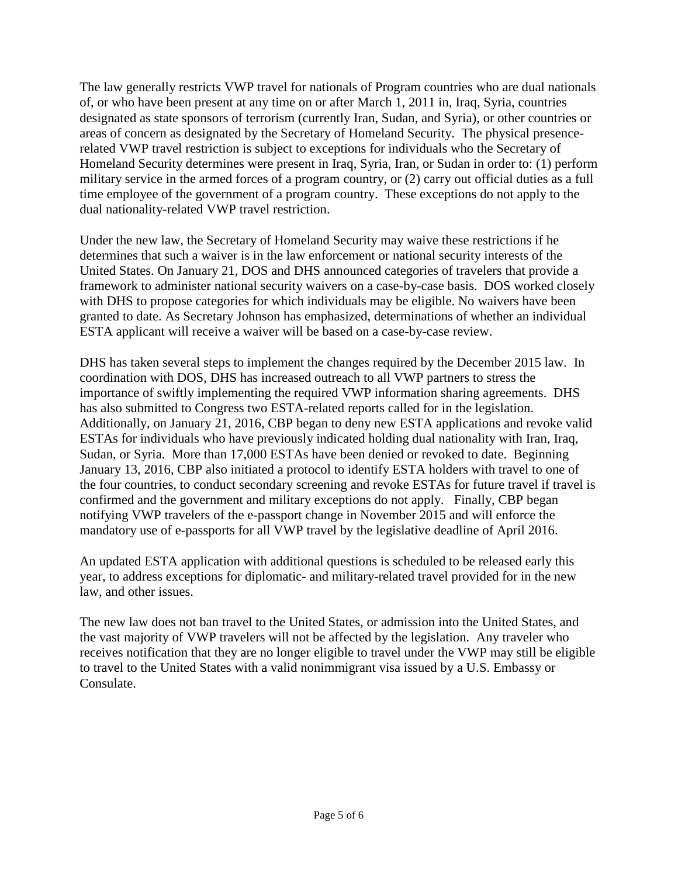The law generally restricts VWP travel for nationals of Program countries who are dual nationals of, or who have been present at any time on or after March 1, 2011 in, Iraq, Syria, countries designated as state sponsors of terrorism (currently Iran, Sudan, and Syria), or other countries or areas of concern as designated by the Secretary of Homeland Security. The physical presencerelated VWP travel restriction is subject to exceptions for individuals who the Secretary of Homeland Security determines were present in Iraq, Syria, Iran, or Sudan in order to: (1) perform military service in the armed forces of a program country, or (2) carry out official duties as a full time employee of the government of a program country. These exceptions do not apply to the dual nationality-related VWP travel restriction.

Under the new law, the Secretary of Homeland Security may waive these restrictions if he determines that such a waiver is in the law enforcement or national security interests of the United States. On January 21, DOS and DHS announced categories of travelers that provide a framework to administer national security waivers on a case-by-case basis. DOS worked closely with DHS to propose categories for which individuals may be eligible. No waivers have been granted to date. As Secretary Johnson has emphasized, determinations of whether an individual ESTA applicant will receive a waiver will be based on a case-by-case review.

DHS has taken several steps to implement the changes required by the December 2015 law. In coordination with DOS, DHS has increased outreach to all VWP partners to stress the importance of swiftly implementing the required VWP information sharing agreements. DHS has also submitted to Congress two ESTA-related reports called for in the legislation. Additionally, on January 21, 2016, CBP began to deny new ESTA applications and revoke valid ESTAs for individuals who have previously indicated holding dual nationality with Iran, Iraq, Sudan, or Syria. More than 17,000 ESTAs have been denied or revoked to date. Beginning January 13, 2016, CBP also initiated a protocol to identify ESTA holders with travel to one of the four countries, to conduct secondary screening and revoke ESTAs for future travel if travel is confirmed and the government and military exceptions do not apply. Finally, CBP began notifying VWP travelers of the e-passport change in November 2015 and will enforce the mandatory use of e-passports for all VWP travel by the legislative deadline of April 2016.

An updated ESTA application with additional questions is scheduled to be released early this year, to address exceptions for diplomatic- and military-related travel provided for in the new law, and other issues.

The new law does not ban travel to the United States, or admission into the United States, and the vast majority of VWP travelers will not be affected by the legislation. Any traveler who receives notification that they are no longer eligible to travel under the VWP may still be eligible to travel to the United States with a valid nonimmigrant visa issued by a U.S. Embassy or Consulate.